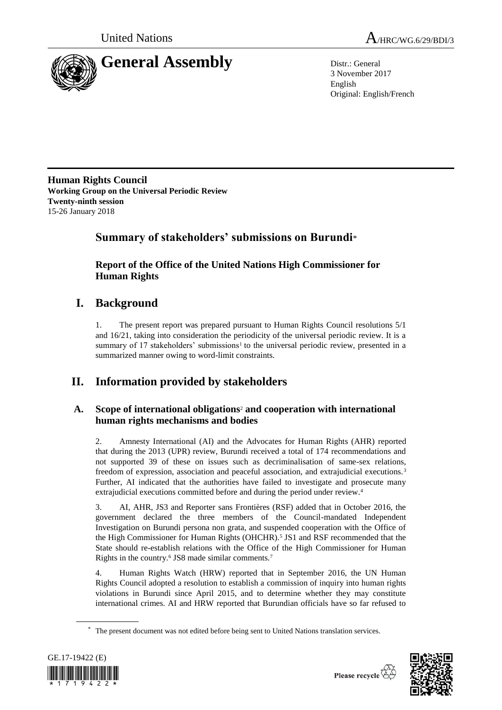



3 November 2017 English Original: English/French

**Human Rights Council Working Group on the Universal Periodic Review Twenty-ninth session** 15-26 January 2018

# **Summary of stakeholders' submissions on Burundi**\*

**Report of the Office of the United Nations High Commissioner for Human Rights**

# **I. Background**

1. The present report was prepared pursuant to Human Rights Council resolutions 5/1 and 16/21, taking into consideration the periodicity of the universal periodic review. It is a summary of 17 stakeholders' submissions<sup>1</sup> to the universal periodic review, presented in a summarized manner owing to word-limit constraints.

# **II. Information provided by stakeholders**

# **A. Scope of international obligations**<sup>2</sup> **and cooperation with international human rights mechanisms and bodies**

2. Amnesty International (AI) and the Advocates for Human Rights (AHR) reported that during the 2013 (UPR) review, Burundi received a total of 174 recommendations and not supported 39 of these on issues such as decriminalisation of same-sex relations, freedom of expression, association and peaceful association, and extrajudicial executions. <sup>3</sup> Further, AI indicated that the authorities have failed to investigate and prosecute many extrajudicial executions committed before and during the period under review.<sup>4</sup>

3. AI, AHR, JS3 and Reporter sans Frontières (RSF) added that in October 2016, the government declared the three members of the Council-mandated Independent Investigation on Burundi persona non grata, and suspended cooperation with the Office of the High Commissioner for Human Rights (OHCHR).<sup>5</sup> JS1 and RSF recommended that the State should re-establish relations with the Office of the High Commissioner for Human Rights in the country.<sup>6</sup> JS8 made similar comments.<sup>7</sup>

4. Human Rights Watch (HRW) reported that in September 2016, the UN Human Rights Council adopted a resolution to establish a commission of inquiry into human rights violations in Burundi since April 2015, and to determine whether they may constitute international crimes. AI and HRW reported that Burundian officials have so far refused to

The present document was not edited before being sent to United Nations translation services.



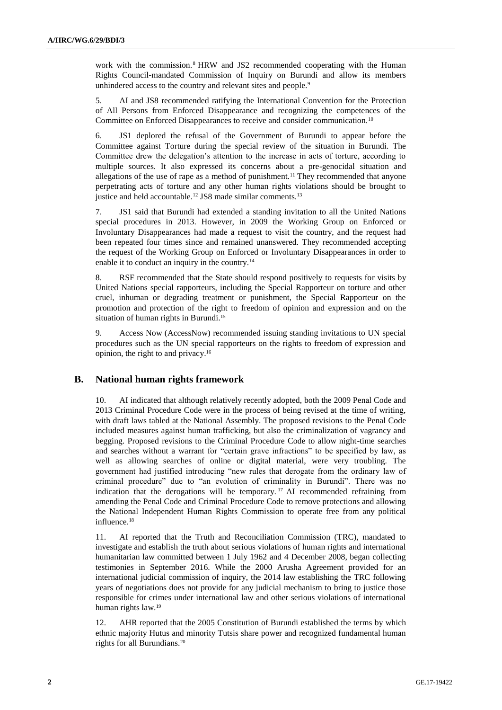work with the commission.<sup>8</sup> HRW and JS2 recommended cooperating with the Human Rights Council-mandated Commission of Inquiry on Burundi and allow its members unhindered access to the country and relevant sites and people.<sup>9</sup>

5. AI and JS8 recommended ratifying the International Convention for the Protection of All Persons from Enforced Disappearance and recognizing the competences of the Committee on Enforced Disappearances to receive and consider communication.<sup>10</sup>

6. JS1 deplored the refusal of the Government of Burundi to appear before the Committee against Torture during the special review of the situation in Burundi. The Committee drew the delegation's attention to the increase in acts of torture, according to multiple sources. It also expressed its concerns about a pre-genocidal situation and allegations of the use of rape as a method of punishment.<sup>11</sup> They recommended that anyone perpetrating acts of torture and any other human rights violations should be brought to justice and held accountable.<sup>12</sup> JS8 made similar comments.<sup>13</sup>

7. JS1 said that Burundi had extended a standing invitation to all the United Nations special procedures in 2013. However, in 2009 the Working Group on Enforced or Involuntary Disappearances had made a request to visit the country, and the request had been repeated four times since and remained unanswered. They recommended accepting the request of the Working Group on Enforced or Involuntary Disappearances in order to enable it to conduct an inquiry in the country.<sup>14</sup>

8. RSF recommended that the State should respond positively to requests for visits by United Nations special rapporteurs, including the Special Rapporteur on torture and other cruel, inhuman or degrading treatment or punishment, the Special Rapporteur on the promotion and protection of the right to freedom of opinion and expression and on the situation of human rights in Burundi.<sup>15</sup>

9. Access Now (AccessNow) recommended issuing standing invitations to UN special procedures such as the UN special rapporteurs on the rights to freedom of expression and opinion, the right to and privacy.<sup>16</sup>

# **B. National human rights framework**

10. AI indicated that although relatively recently adopted, both the 2009 Penal Code and 2013 Criminal Procedure Code were in the process of being revised at the time of writing, with draft laws tabled at the National Assembly. The proposed revisions to the Penal Code included measures against human trafficking, but also the criminalization of vagrancy and begging. Proposed revisions to the Criminal Procedure Code to allow night-time searches and searches without a warrant for "certain grave infractions" to be specified by law, as well as allowing searches of online or digital material, were very troubling. The government had justified introducing "new rules that derogate from the ordinary law of criminal procedure" due to "an evolution of criminality in Burundi". There was no indication that the derogations will be temporary. <sup>17</sup> AI recommended refraining from amending the Penal Code and Criminal Procedure Code to remove protections and allowing the National Independent Human Rights Commission to operate free from any political influence.<sup>18</sup>

11. AI reported that the Truth and Reconciliation Commission (TRC), mandated to investigate and establish the truth about serious violations of human rights and international humanitarian law committed between 1 July 1962 and 4 December 2008, began collecting testimonies in September 2016. While the 2000 Arusha Agreement provided for an international judicial commission of inquiry, the 2014 law establishing the TRC following years of negotiations does not provide for any judicial mechanism to bring to justice those responsible for crimes under international law and other serious violations of international human rights law.<sup>19</sup>

12. AHR reported that the 2005 Constitution of Burundi established the terms by which ethnic majority Hutus and minority Tutsis share power and recognized fundamental human rights for all Burundians.20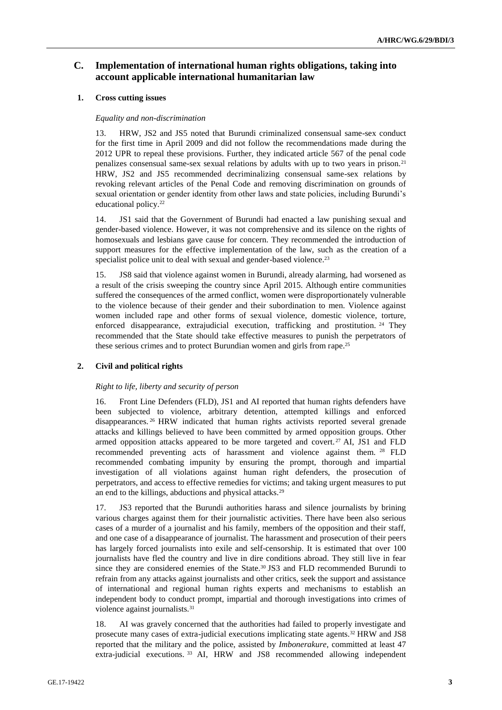# **C. Implementation of international human rights obligations, taking into account applicable international humanitarian law**

# **1. Cross cutting issues**

## *Equality and non-discrimination*

13. HRW, JS2 and JS5 noted that Burundi criminalized consensual same-sex conduct for the first time in April 2009 and did not follow the recommendations made during the 2012 UPR to repeal these provisions. Further, they indicated article 567 of the penal code penalizes consensual same-sex sexual relations by adults with up to two years in prison.<sup>21</sup> HRW, JS2 and JS5 recommended decriminalizing consensual same-sex relations by revoking relevant articles of the Penal Code and removing discrimination on grounds of sexual orientation or gender identity from other laws and state policies, including Burundi's educational policy.<sup>22</sup>

14. JS1 said that the Government of Burundi had enacted a law punishing sexual and gender-based violence. However, it was not comprehensive and its silence on the rights of homosexuals and lesbians gave cause for concern. They recommended the introduction of support measures for the effective implementation of the law, such as the creation of a specialist police unit to deal with sexual and gender-based violence.<sup>23</sup>

15. JS8 said that violence against women in Burundi, already alarming, had worsened as a result of the crisis sweeping the country since April 2015. Although entire communities suffered the consequences of the armed conflict, women were disproportionately vulnerable to the violence because of their gender and their subordination to men. Violence against women included rape and other forms of sexual violence, domestic violence, torture, enforced disappearance, extrajudicial execution, trafficking and prostitution. <sup>24</sup> They recommended that the State should take effective measures to punish the perpetrators of these serious crimes and to protect Burundian women and girls from rape.<sup>25</sup>

## **2. Civil and political rights**

## *Right to life, liberty and security of person*

16. Front Line Defenders (FLD), JS1 and AI reported that human rights defenders have been subjected to violence, arbitrary detention, attempted killings and enforced disappearances. <sup>26</sup> HRW indicated that human rights activists reported several grenade attacks and killings believed to have been committed by armed opposition groups. Other armed opposition attacks appeared to be more targeted and covert.<sup>27</sup> AI, JS1 and FLD recommended preventing acts of harassment and violence against them. <sup>28</sup> FLD recommended combating impunity by ensuring the prompt, thorough and impartial investigation of all violations against human right defenders, the prosecution of perpetrators, and access to effective remedies for victims; and taking urgent measures to put an end to the killings, abductions and physical attacks.<sup>29</sup>

17. JS3 reported that the Burundi authorities harass and silence journalists by brining various charges against them for their journalistic activities. There have been also serious cases of a murder of a journalist and his family, members of the opposition and their staff, and one case of a disappearance of journalist. The harassment and prosecution of their peers has largely forced journalists into exile and self-censorship. It is estimated that over 100 journalists have fled the country and live in dire conditions abroad. They still live in fear since they are considered enemies of the State.<sup>30</sup> JS3 and FLD recommended Burundi to refrain from any attacks against journalists and other critics, seek the support and assistance of international and regional human rights experts and mechanisms to establish an independent body to conduct prompt, impartial and thorough investigations into crimes of violence against journalists.<sup>31</sup>

18. AI was gravely concerned that the authorities had failed to properly investigate and prosecute many cases of extra-judicial executions implicating state agents.<sup>32</sup> HRW and JS8 reported that the military and the police, assisted by *Imbonerakure*, committed at least 47 extra-judicial executions. <sup>33</sup> AI, HRW and JS8 recommended allowing independent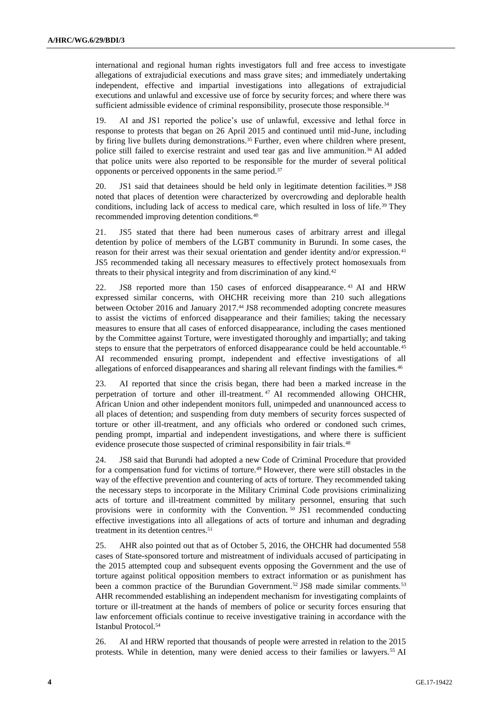international and regional human rights investigators full and free access to investigate allegations of extrajudicial executions and mass grave sites; and immediately undertaking independent, effective and impartial investigations into allegations of extrajudicial executions and unlawful and excessive use of force by security forces; and where there was sufficient admissible evidence of criminal responsibility, prosecute those responsible.<sup>34</sup>

19. AI and JS1 reported the police's use of unlawful, excessive and lethal force in response to protests that began on 26 April 2015 and continued until mid-June, including by firing live bullets during demonstrations.<sup>35</sup> Further, even where children where present, police still failed to exercise restraint and used tear gas and live ammunition.<sup>36</sup> AI added that police units were also reported to be responsible for the murder of several political opponents or perceived opponents in the same period.<sup>37</sup>

20. JS1 said that detainees should be held only in legitimate detention facilities.<sup>38</sup> JS8 noted that places of detention were characterized by overcrowding and deplorable health conditions, including lack of access to medical care, which resulted in loss of life.<sup>39</sup> They recommended improving detention conditions.<sup>40</sup>

21. JS5 stated that there had been numerous cases of arbitrary arrest and illegal detention by police of members of the LGBT community in Burundi. In some cases, the reason for their arrest was their sexual orientation and gender identity and/or expression.<sup>41</sup> JS5 recommended taking all necessary measures to effectively protect homosexuals from threats to their physical integrity and from discrimination of any kind.<sup>42</sup>

22. JS8 reported more than 150 cases of enforced disappearance. <sup>43</sup> AI and HRW expressed similar concerns, with OHCHR receiving more than 210 such allegations between October 2016 and January 2017.<sup>44</sup> JS8 recommended adopting concrete measures to assist the victims of enforced disappearance and their families; taking the necessary measures to ensure that all cases of enforced disappearance, including the cases mentioned by the Committee against Torture, were investigated thoroughly and impartially; and taking steps to ensure that the perpetrators of enforced disappearance could be held accountable.<sup>45</sup> AI recommended ensuring prompt, independent and effective investigations of all allegations of enforced disappearances and sharing all relevant findings with the families.<sup>46</sup>

23. AI reported that since the crisis began, there had been a marked increase in the perpetration of torture and other ill-treatment. <sup>47</sup> AI recommended allowing OHCHR, African Union and other independent monitors full, unimpeded and unannounced access to all places of detention; and suspending from duty members of security forces suspected of torture or other ill-treatment, and any officials who ordered or condoned such crimes, pending prompt, impartial and independent investigations, and where there is sufficient evidence prosecute those suspected of criminal responsibility in fair trials.<sup>48</sup>

24. JS8 said that Burundi had adopted a new Code of Criminal Procedure that provided for a compensation fund for victims of torture.<sup>49</sup> However, there were still obstacles in the way of the effective prevention and countering of acts of torture. They recommended taking the necessary steps to incorporate in the Military Criminal Code provisions criminalizing acts of torture and ill-treatment committed by military personnel, ensuring that such provisions were in conformity with the Convention.<sup>50</sup> JS1 recommended conducting effective investigations into all allegations of acts of torture and inhuman and degrading treatment in its detention centres.<sup>51</sup>

25. AHR also pointed out that as of October 5, 2016, the OHCHR had documented 558 cases of State-sponsored torture and mistreatment of individuals accused of participating in the 2015 attempted coup and subsequent events opposing the Government and the use of torture against political opposition members to extract information or as punishment has been a common practice of the Burundian Government.<sup>52</sup> JS8 made similar comments.<sup>53</sup> AHR recommended establishing an independent mechanism for investigating complaints of torture or ill-treatment at the hands of members of police or security forces ensuring that law enforcement officials continue to receive investigative training in accordance with the Istanbul Protocol.<sup>54</sup>

26. AI and HRW reported that thousands of people were arrested in relation to the 2015 protests. While in detention, many were denied access to their families or lawyers.<sup>55</sup> AI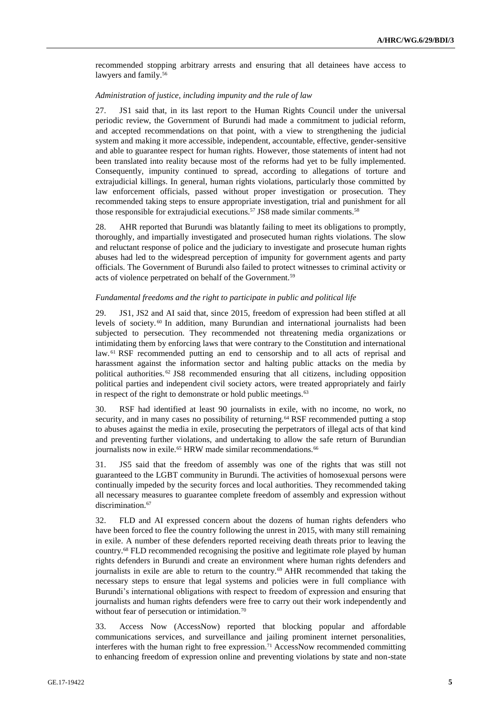recommended stopping arbitrary arrests and ensuring that all detainees have access to lawyers and family.<sup>56</sup>

#### *Administration of justice, including impunity and the rule of law*

27. JS1 said that, in its last report to the Human Rights Council under the universal periodic review, the Government of Burundi had made a commitment to judicial reform, and accepted recommendations on that point, with a view to strengthening the judicial system and making it more accessible, independent, accountable, effective, gender-sensitive and able to guarantee respect for human rights. However, those statements of intent had not been translated into reality because most of the reforms had yet to be fully implemented. Consequently, impunity continued to spread, according to allegations of torture and extrajudicial killings. In general, human rights violations, particularly those committed by law enforcement officials, passed without proper investigation or prosecution. They recommended taking steps to ensure appropriate investigation, trial and punishment for all those responsible for extrajudicial executions.<sup>57</sup> JS8 made similar comments.<sup>58</sup>

28. AHR reported that Burundi was blatantly failing to meet its obligations to promptly, thoroughly, and impartially investigated and prosecuted human rights violations. The slow and reluctant response of police and the judiciary to investigate and prosecute human rights abuses had led to the widespread perception of impunity for government agents and party officials. The Government of Burundi also failed to protect witnesses to criminal activity or acts of violence perpetrated on behalf of the Government.<sup>59</sup>

#### *Fundamental freedoms and the right to participate in public and political life*

29. JS1, JS2 and AI said that, since 2015, freedom of expression had been stifled at all levels of society. <sup>60</sup> In addition, many Burundian and international journalists had been subjected to persecution. They recommended not threatening media organizations or intimidating them by enforcing laws that were contrary to the Constitution and international law. <sup>61</sup> RSF recommended putting an end to censorship and to all acts of reprisal and harassment against the information sector and halting public attacks on the media by political authorities. <sup>62</sup> JS8 recommended ensuring that all citizens, including opposition political parties and independent civil society actors, were treated appropriately and fairly in respect of the right to demonstrate or hold public meetings.<sup>63</sup>

30. RSF had identified at least 90 journalists in exile, with no income, no work, no security, and in many cases no possibility of returning.<sup>64</sup> RSF recommended putting a stop to abuses against the media in exile, prosecuting the perpetrators of illegal acts of that kind and preventing further violations, and undertaking to allow the safe return of Burundian journalists now in exile.<sup>65</sup> HRW made similar recommendations.<sup>66</sup>

31. JS5 said that the freedom of assembly was one of the rights that was still not guaranteed to the LGBT community in Burundi. The activities of homosexual persons were continually impeded by the security forces and local authorities. They recommended taking all necessary measures to guarantee complete freedom of assembly and expression without discrimination.<sup>67</sup>

32. FLD and AI expressed concern about the dozens of human rights defenders who have been forced to flee the country following the unrest in 2015, with many still remaining in exile. A number of these defenders reported receiving death threats prior to leaving the country.<sup>68</sup> FLD recommended recognising the positive and legitimate role played by human rights defenders in Burundi and create an environment where human rights defenders and journalists in exile are able to return to the country.<sup>69</sup> AHR recommended that taking the necessary steps to ensure that legal systems and policies were in full compliance with Burundi's international obligations with respect to freedom of expression and ensuring that journalists and human rights defenders were free to carry out their work independently and without fear of persecution or intimidation.<sup>70</sup>

33. Access Now (AccessNow) reported that blocking popular and affordable communications services, and surveillance and jailing prominent internet personalities, interferes with the human right to free expression.<sup>71</sup> AccessNow recommended committing to enhancing freedom of expression online and preventing violations by state and non-state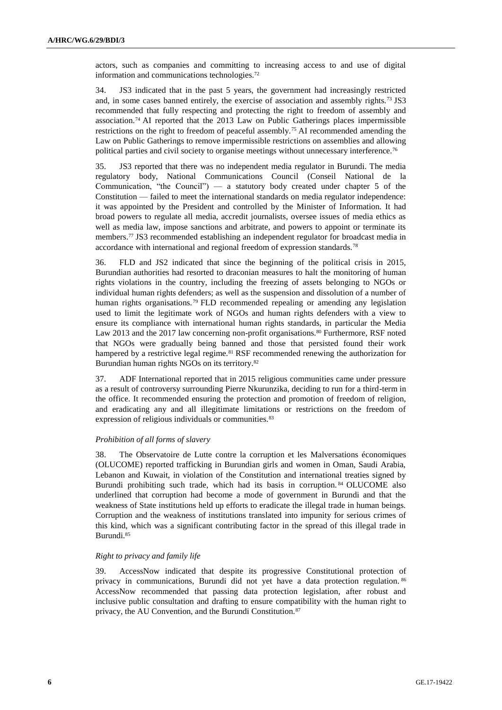actors, such as companies and committing to increasing access to and use of digital information and communications technologies.<sup>72</sup>

34. JS3 indicated that in the past 5 years, the government had increasingly restricted and, in some cases banned entirely, the exercise of association and assembly rights.<sup>73</sup> JS3 recommended that fully respecting and protecting the right to freedom of assembly and association.<sup>74</sup> AI reported that the 2013 Law on Public Gatherings places impermissible restrictions on the right to freedom of peaceful assembly.<sup>75</sup> AI recommended amending the Law on Public Gatherings to remove impermissible restrictions on assemblies and allowing political parties and civil society to organise meetings without unnecessary interference.<sup>76</sup>

35. JS3 reported that there was no independent media regulator in Burundi. The media regulatory body, National Communications Council (Conseil National de la Communication, "the Council") — a statutory body created under chapter 5 of the Constitution — failed to meet the international standards on media regulator independence: it was appointed by the President and controlled by the Minister of Information. It had broad powers to regulate all media, accredit journalists, oversee issues of media ethics as well as media law, impose sanctions and arbitrate, and powers to appoint or terminate its members.<sup>77</sup> JS3 recommended establishing an independent regulator for broadcast media in accordance with international and regional freedom of expression standards.<sup>78</sup>

36. FLD and JS2 indicated that since the beginning of the political crisis in 2015, Burundian authorities had resorted to draconian measures to halt the monitoring of human rights violations in the country, including the freezing of assets belonging to NGOs or individual human rights defenders; as well as the suspension and dissolution of a number of human rights organisations.<sup>79</sup> FLD recommended repealing or amending any legislation used to limit the legitimate work of NGOs and human rights defenders with a view to ensure its compliance with international human rights standards, in particular the Media Law 2013 and the 2017 law concerning non-profit organisations.<sup>80</sup> Furthermore, RSF noted that NGOs were gradually being banned and those that persisted found their work hampered by a restrictive legal regime.<sup>81</sup> RSF recommended renewing the authorization for Burundian human rights NGOs on its territory.<sup>82</sup>

37. ADF International reported that in 2015 religious communities came under pressure as a result of controversy surrounding Pierre Nkurunzika, deciding to run for a third-term in the office. It recommended ensuring the protection and promotion of freedom of religion, and eradicating any and all illegitimate limitations or restrictions on the freedom of expression of religious individuals or communities.<sup>83</sup>

#### *Prohibition of all forms of slavery*

38. The Observatoire de Lutte contre la corruption et les Malversations économiques (OLUCOME) reported trafficking in Burundian girls and women in Oman, Saudi Arabia, Lebanon and Kuwait, in violation of the Constitution and international treaties signed by Burundi prohibiting such trade, which had its basis in corruption. <sup>84</sup> OLUCOME also underlined that corruption had become a mode of government in Burundi and that the weakness of State institutions held up efforts to eradicate the illegal trade in human beings. Corruption and the weakness of institutions translated into impunity for serious crimes of this kind, which was a significant contributing factor in the spread of this illegal trade in Burundi.<sup>85</sup>

#### *Right to privacy and family life*

39. AccessNow indicated that despite its progressive Constitutional protection of privacy in communications, Burundi did not yet have a data protection regulation. <sup>86</sup> AccessNow recommended that passing data protection legislation, after robust and inclusive public consultation and drafting to ensure compatibility with the human right to privacy, the AU Convention, and the Burundi Constitution.<sup>87</sup>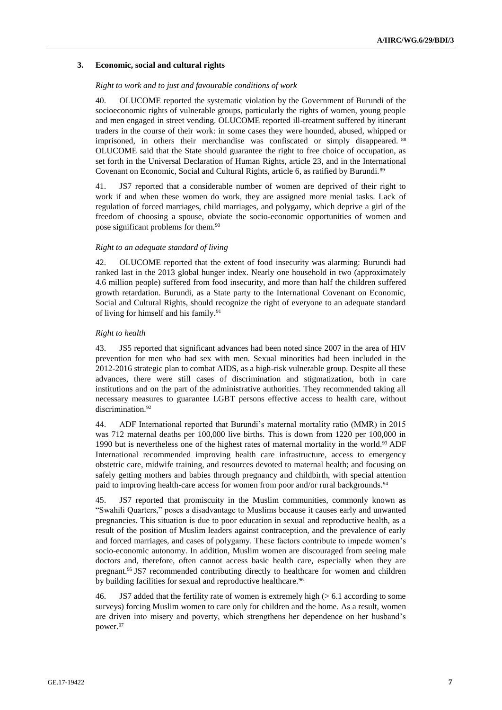## **3. Economic, social and cultural rights**

#### *Right to work and to just and favourable conditions of work*

40. OLUCOME reported the systematic violation by the Government of Burundi of the socioeconomic rights of vulnerable groups, particularly the rights of women, young people and men engaged in street vending. OLUCOME reported ill-treatment suffered by itinerant traders in the course of their work: in some cases they were hounded, abused, whipped or imprisoned, in others their merchandise was confiscated or simply disappeared. <sup>88</sup> OLUCOME said that the State should guarantee the right to free choice of occupation, as set forth in the Universal Declaration of Human Rights, article 23, and in the International Covenant on Economic, Social and Cultural Rights, article 6, as ratified by Burundi.<sup>89</sup>

41. JS7 reported that a considerable number of women are deprived of their right to work if and when these women do work, they are assigned more menial tasks. Lack of regulation of forced marriages, child marriages, and polygamy, which deprive a girl of the freedom of choosing a spouse, obviate the socio-economic opportunities of women and pose significant problems for them.<sup>90</sup>

#### *Right to an adequate standard of living*

42. OLUCOME reported that the extent of food insecurity was alarming: Burundi had ranked last in the 2013 global hunger index. Nearly one household in two (approximately 4.6 million people) suffered from food insecurity, and more than half the children suffered growth retardation. Burundi, as a State party to the International Covenant on Economic, Social and Cultural Rights, should recognize the right of everyone to an adequate standard of living for himself and his family.<sup>91</sup>

#### *Right to health*

43. JS5 reported that significant advances had been noted since 2007 in the area of HIV prevention for men who had sex with men. Sexual minorities had been included in the 2012-2016 strategic plan to combat AIDS, as a high-risk vulnerable group. Despite all these advances, there were still cases of discrimination and stigmatization, both in care institutions and on the part of the administrative authorities. They recommended taking all necessary measures to guarantee LGBT persons effective access to health care, without discrimination.<sup>92</sup>

44. ADF International reported that Burundi's maternal mortality ratio (MMR) in 2015 was 712 maternal deaths per 100,000 live births. This is down from 1220 per 100,000 in 1990 but is nevertheless one of the highest rates of maternal mortality in the world.<sup>93</sup> ADF International recommended improving health care infrastructure, access to emergency obstetric care, midwife training, and resources devoted to maternal health; and focusing on safely getting mothers and babies through pregnancy and childbirth, with special attention paid to improving health-care access for women from poor and/or rural backgrounds.<sup>94</sup>

45. JS7 reported that promiscuity in the Muslim communities, commonly known as "Swahili Quarters," poses a disadvantage to Muslims because it causes early and unwanted pregnancies. This situation is due to poor education in sexual and reproductive health, as a result of the position of Muslim leaders against contraception, and the prevalence of early and forced marriages, and cases of polygamy. These factors contribute to impede women's socio-economic autonomy. In addition, Muslim women are discouraged from seeing male doctors and, therefore, often cannot access basic health care, especially when they are pregnant.<sup>95</sup> JS7 recommended contributing directly to healthcare for women and children by building facilities for sexual and reproductive healthcare.<sup>96</sup>

46. JS7 added that the fertility rate of women is extremely high (> 6.1 according to some surveys) forcing Muslim women to care only for children and the home. As a result, women are driven into misery and poverty, which strengthens her dependence on her husband's power.<sup>97</sup>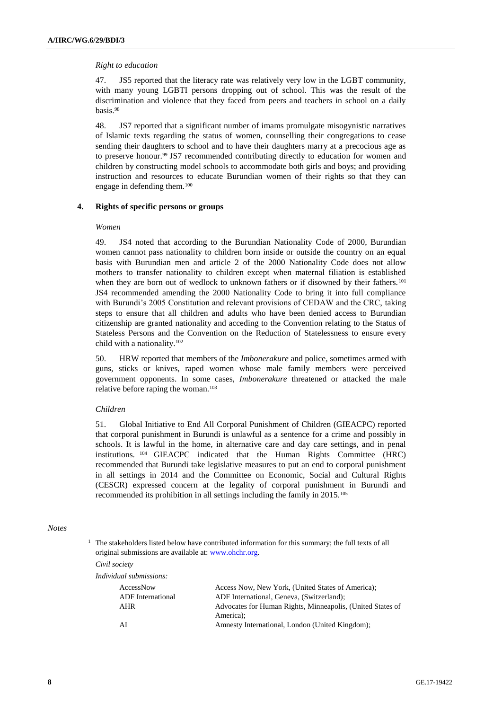## *Right to education*

47. JS5 reported that the literacy rate was relatively very low in the LGBT community, with many young LGBTI persons dropping out of school. This was the result of the discrimination and violence that they faced from peers and teachers in school on a daily basis.<sup>98</sup>

48. JS7 reported that a significant number of imams promulgate misogynistic narratives of Islamic texts regarding the status of women, counselling their congregations to cease sending their daughters to school and to have their daughters marry at a precocious age as to preserve honour.<sup>99</sup> JS7 recommended contributing directly to education for women and children by constructing model schools to accommodate both girls and boys; and providing instruction and resources to educate Burundian women of their rights so that they can engage in defending them.<sup>100</sup>

# **4. Rights of specific persons or groups**

#### *Women*

49. JS4 noted that according to the Burundian Nationality Code of 2000, Burundian women cannot pass nationality to children born inside or outside the country on an equal basis with Burundian men and article 2 of the 2000 Nationality Code does not allow mothers to transfer nationality to children except when maternal filiation is established when they are born out of wedlock to unknown fathers or if disowned by their fathers.<sup>101</sup> JS4 recommended amending the 2000 Nationality Code to bring it into full compliance with Burundi's 2005 Constitution and relevant provisions of CEDAW and the CRC, taking steps to ensure that all children and adults who have been denied access to Burundian citizenship are granted nationality and acceding to the Convention relating to the Status of Stateless Persons and the Convention on the Reduction of Statelessness to ensure every child with a nationality.<sup>102</sup>

50. HRW reported that members of the *Imbonerakure* and police, sometimes armed with guns, sticks or knives, raped women whose male family members were perceived government opponents. In some cases, *Imbonerakure* threatened or attacked the male relative before raping the woman.<sup>103</sup>

#### *Children*

51. Global Initiative to End All Corporal Punishment of Children (GIEACPC) reported that corporal punishment in Burundi is unlawful as a sentence for a crime and possibly in schools. It is lawful in the home, in alternative care and day care settings, and in penal institutions. <sup>104</sup> GIEACPC indicated that the Human Rights Committee (HRC) recommended that Burundi take legislative measures to put an end to corporal punishment in all settings in 2014 and the Committee on Economic, Social and Cultural Rights (CESCR) expressed concern at the legality of corporal punishment in Burundi and recommended its prohibition in all settings including the family in 2015.<sup>105</sup>

#### *Notes*

 $1$  The stakeholders listed below have contributed information for this summary; the full texts of all original submissions are available at: [www.ohchr.org.](http://www.ohchr.org/)

*Civil society*

| Individual submissions:  |                                                                         |
|--------------------------|-------------------------------------------------------------------------|
| AccessNow                | Access Now, New York, (United States of America):                       |
| <b>ADF</b> International | ADF International, Geneva, (Switzerland);                               |
| AHR                      | Advocates for Human Rights, Minneapolis, (United States of<br>America): |
| ΑI                       | Amnesty International, London (United Kingdom);                         |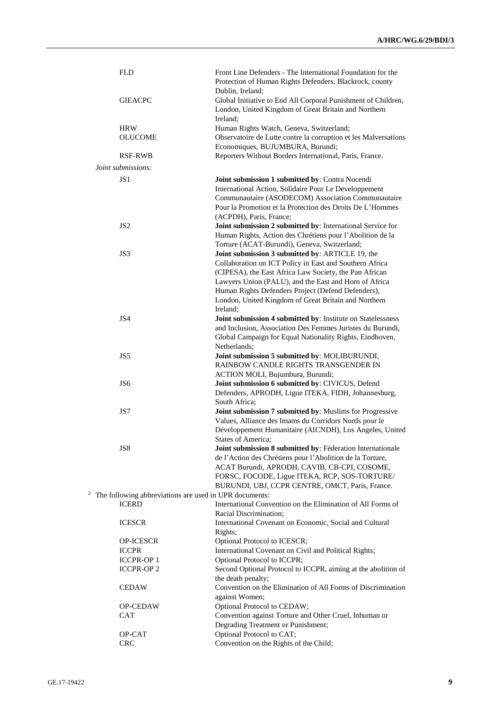| <b>FLD</b>                                             | Front Line Defenders - The International Foundation for the<br>Protection of Human Rights Defenders, Blackrock, county |
|--------------------------------------------------------|------------------------------------------------------------------------------------------------------------------------|
|                                                        | Dublin, Ireland;                                                                                                       |
| <b>GIEACPC</b>                                         | Global Initiative to End All Corporal Punishment of Children,<br>London, United Kingdom of Great Britain and Northern  |
|                                                        | Ireland;                                                                                                               |
| <b>HRW</b>                                             | Human Rights Watch, Geneva, Switzerland;                                                                               |
| <b>OLUCOME</b>                                         | Observatoire de Lutte contre la corruption et les Malversations<br>Economiques, BUJUMBURA, Burundi;                    |
| <b>RSF-RWB</b>                                         | Reporters Without Borders International, Paris, France.                                                                |
| Joint submissions:                                     |                                                                                                                        |
|                                                        |                                                                                                                        |
| JS1                                                    | Joint submission 1 submitted by: Contra Nocendi<br>International Action, Solidaire Pour Le Developpement               |
|                                                        | Communautaire (ASODECOM) Association Communautaire                                                                     |
|                                                        | Pour la Promotion et la Protection des Droits De L'Hommes                                                              |
| JS <sub>2</sub>                                        | (ACPDH), Paris, France;<br>Joint submission 2 submitted by: International Service for                                  |
|                                                        | Human Rights, Action des Chrétiens pour l'Abolition de la                                                              |
|                                                        | Torture (ACAT-Burundi), Geneva, Switzerland;                                                                           |
| JS3                                                    | Joint submission 3 submitted by: ARTICLE 19, the                                                                       |
|                                                        | Collaboration on ICT Policy in East and Southern Africa                                                                |
|                                                        | (CIPESA), the East Africa Law Society, the Pan African                                                                 |
|                                                        | Lawyers Union (PALU), and the East and Horn of Africa                                                                  |
|                                                        | Human Rights Defenders Project (Defend Defenders),                                                                     |
|                                                        | London, United Kingdom of Great Britain and Northern<br>Ireland:                                                       |
| JS4                                                    | Joint submission 4 submitted by: Institute on Statelessness                                                            |
|                                                        | and Inclusion, Association Des Femmes Juristes du Burundi,                                                             |
|                                                        | Global Campaign for Equal Nationality Rights, Eindhoven,                                                               |
|                                                        | Netherlands;                                                                                                           |
| JS5                                                    | Joint submission 5 submitted by: MOLIBURUNDI,                                                                          |
|                                                        | RAINBOW CANDLE RIGHTS TRANSGENDER IN                                                                                   |
|                                                        | ACTION MOLI, Bujumbura, Burundi;                                                                                       |
| JS <sub>6</sub>                                        | Joint submission 6 submitted by: CIVICUS, Defend                                                                       |
|                                                        | Defenders, APRODH, Ligue ITEKA, FIDH, Johannesburg,                                                                    |
|                                                        | South Africa;                                                                                                          |
| JS7                                                    | Joint submission 7 submitted by: Muslims for Progressive                                                               |
|                                                        | Values, Alliance des Imams du Corridors Nords pour le                                                                  |
|                                                        | Développement Humanitaire (AICNDH), Los Angeles, United                                                                |
| JS8                                                    | States of America;<br>Joint submission 8 submitted by: Féderation Internationale                                       |
|                                                        | de l'Action des Chrétiens pour l'Abolition de la Torture,                                                              |
|                                                        | ACAT Burundi, APRODH, CAVIB, CB-CPI, COSOME,                                                                           |
|                                                        | FORSC, FOCODE, Ligue ITEKA, RCP, SOS-TORTURE/                                                                          |
|                                                        | BURUNDI, UBJ, CCPR CENTRE, OMCT, Paris, France.                                                                        |
| The following abbreviations are used in UPR documents: |                                                                                                                        |
| <b>ICERD</b>                                           | International Convention on the Elimination of All Forms of                                                            |
|                                                        | Racial Discrimination;                                                                                                 |
| <b>ICESCR</b>                                          | International Covenant on Economic, Social and Cultural                                                                |
|                                                        | Rights;                                                                                                                |
| OP-ICESCR                                              | Optional Protocol to ICESCR;                                                                                           |
| <b>ICCPR</b>                                           | International Covenant on Civil and Political Rights;                                                                  |
| <b>ICCPR-OP1</b><br><b>ICCPR-OP2</b>                   | Optional Protocol to ICCPR;<br>Second Optional Protocol to ICCPR, aiming at the abolition of                           |
|                                                        | the death penalty;                                                                                                     |
| <b>CEDAW</b>                                           | Convention on the Elimination of All Forms of Discrimination                                                           |
|                                                        | against Women;                                                                                                         |
| OP-CEDAW                                               | Optional Protocol to CEDAW;                                                                                            |
| CAT                                                    | Convention against Torture and Other Cruel, Inhuman or                                                                 |
|                                                        | Degrading Treatment or Punishment;                                                                                     |
| OP-CAT                                                 | Optional Protocol to CAT;                                                                                              |
| <b>CRC</b>                                             | Convention on the Rights of the Child;                                                                                 |
|                                                        |                                                                                                                        |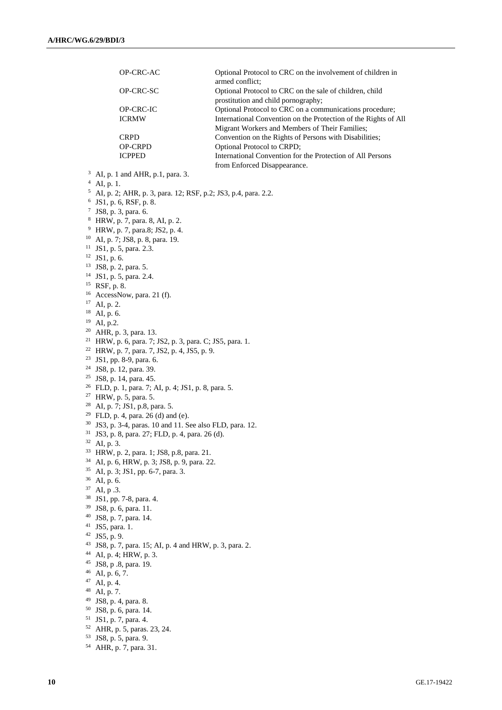|    | OP-CRC-AC                                                                  | Optional Protocol to CRC on the involvement of children in<br>armed conflict;                                     |
|----|----------------------------------------------------------------------------|-------------------------------------------------------------------------------------------------------------------|
|    | OP-CRC-SC                                                                  | Optional Protocol to CRC on the sale of children, child<br>prostitution and child pornography;                    |
|    | OP-CRC-IC                                                                  | Optional Protocol to CRC on a communications procedure;                                                           |
|    | <b>ICRMW</b>                                                               | International Convention on the Protection of the Rights of All<br>Migrant Workers and Members of Their Families; |
|    | <b>CRPD</b>                                                                | Convention on the Rights of Persons with Disabilities;                                                            |
|    | OP-CRPD                                                                    | Optional Protocol to CRPD;                                                                                        |
|    | <b>ICPPED</b>                                                              | International Convention for the Protection of All Persons<br>from Enforced Disappearance.                        |
|    | $3$ AI, p. 1 and AHR, p.1, para. 3.                                        |                                                                                                                   |
|    | $4$ AI, p. 1.                                                              |                                                                                                                   |
|    | <sup>5</sup> AI, p. 2; AHR, p. 3, para. 12; RSF, p.2; JS3, p.4, para. 2.2. |                                                                                                                   |
|    | $6$ JS1, p. 6, RSF, p. 8.                                                  |                                                                                                                   |
|    | $7$ JS8, p. 3, para. 6.                                                    |                                                                                                                   |
|    | <sup>8</sup> HRW, p. 7, para. 8, AI, p. 2.                                 |                                                                                                                   |
|    | <sup>9</sup> HRW, p. 7, para.8; JS2, p. 4.                                 |                                                                                                                   |
|    | <sup>10</sup> AI, p. 7; JS8, p. 8, para. 19.                               |                                                                                                                   |
|    | $11$ JS1, p. 5, para. 2.3.                                                 |                                                                                                                   |
|    | $12$ JS1, p. 6.                                                            |                                                                                                                   |
|    | <sup>13</sup> JS8, p. 2, para. 5.                                          |                                                                                                                   |
|    | <sup>14</sup> JS1, p. 5, para. 2.4.                                        |                                                                                                                   |
|    | <sup>15</sup> RSF, p. 8.                                                   |                                                                                                                   |
|    | $16$ AccessNow, para. 21 (f).                                              |                                                                                                                   |
|    | $17$ AI, p. 2.                                                             |                                                                                                                   |
|    | $18$ AI, p. 6.                                                             |                                                                                                                   |
|    | $^{19}$ AI, p.2.                                                           |                                                                                                                   |
|    | <sup>20</sup> AHR, p. 3, para. 13.                                         |                                                                                                                   |
|    | <sup>21</sup> HRW, p. 6, para. 7; JS2, p. 3, para. C; JS5, para. 1.        |                                                                                                                   |
|    | <sup>22</sup> HRW, p. 7, para. 7, JS2, p. 4, JS5, p. 9.                    |                                                                                                                   |
|    | <sup>23</sup> JS1, pp. 8-9, para. 6.                                       |                                                                                                                   |
|    | <sup>24</sup> JS8, p. 12, para. 39.<br><sup>25</sup> JS8, p. 14, para. 45. |                                                                                                                   |
|    | <sup>26</sup> FLD, p. 1, para. 7; AI, p. 4; JS1, p. 8, para. 5.            |                                                                                                                   |
|    | <sup>27</sup> HRW, p. 5, para. 5.                                          |                                                                                                                   |
|    | <sup>28</sup> AI, p. 7; JS1, p.8, para. 5.                                 |                                                                                                                   |
|    | <sup>29</sup> FLD, p. 4, para. 26 (d) and (e).                             |                                                                                                                   |
|    | <sup>30</sup> JS3, p. 3-4, paras. 10 and 11. See also FLD, para. 12.       |                                                                                                                   |
|    | <sup>31</sup> JS3, p. 8, para. 27; FLD, p. 4, para. 26 (d).                |                                                                                                                   |
| 32 | AI, p. 3.                                                                  |                                                                                                                   |
|    | <sup>33</sup> HRW, p. 2, para. 1; JS8, p.8, para. 21.                      |                                                                                                                   |
|    | <sup>34</sup> AI, p. 6, HRW, p. 3; JS8, p. 9, para. 22.                    |                                                                                                                   |
| 35 | AI, p. 3; JS1, pp. 6-7, para. 3.                                           |                                                                                                                   |
| 36 | AI, p. 6.                                                                  |                                                                                                                   |
| 37 | AI, p .3.                                                                  |                                                                                                                   |
| 38 | JS1, pp. 7-8, para. 4.                                                     |                                                                                                                   |
|    | <sup>39</sup> JS8, p. 6, para. 11.                                         |                                                                                                                   |
|    | <sup>40</sup> JS8, p. 7, para. 14.                                         |                                                                                                                   |
|    | $41$ JS5, para. 1.<br>$42$ JS5, p. 9.                                      |                                                                                                                   |
|    | 43 JS8, p. 7, para. 15; AI, p. 4 and HRW, p. 3, para. 2.                   |                                                                                                                   |
|    | <sup>44</sup> AI, p. 4; HRW, p. 3.                                         |                                                                                                                   |
|    | <sup>45</sup> JS8, p .8, para. 19.                                         |                                                                                                                   |
|    | $46$ AI, p. 6, 7.                                                          |                                                                                                                   |
| 47 | AI, p. 4.                                                                  |                                                                                                                   |
| 48 | AI, p. 7.                                                                  |                                                                                                                   |
| 49 | JS8, p. 4, para. 8.                                                        |                                                                                                                   |
|    | <sup>50</sup> JS8, p. 6, para. 14.                                         |                                                                                                                   |
|    | <sup>51</sup> JS1, p. 7, para. 4.                                          |                                                                                                                   |

AHR, p. 7, para. 31.